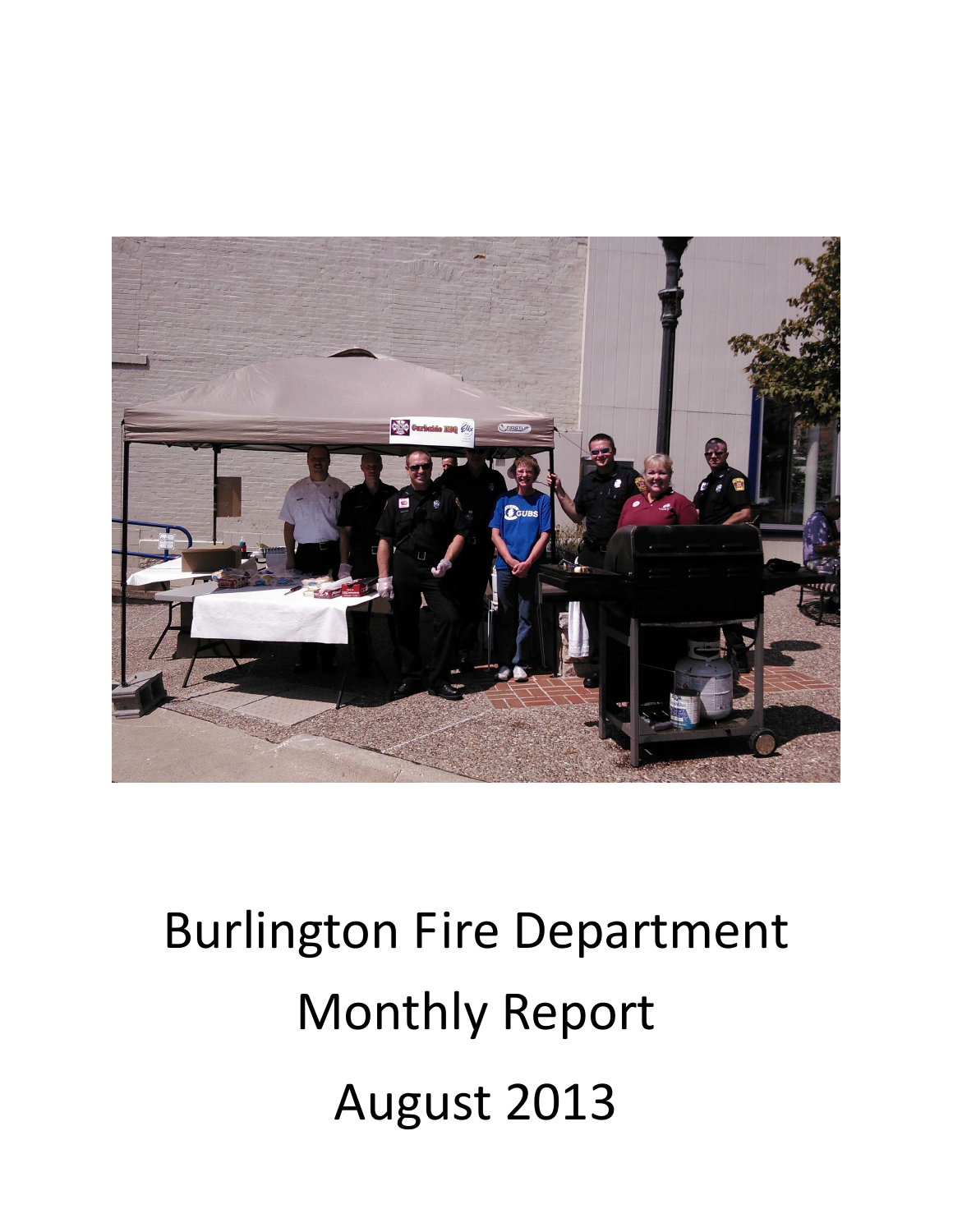

# Burlington Fire Department Monthly Report August 2013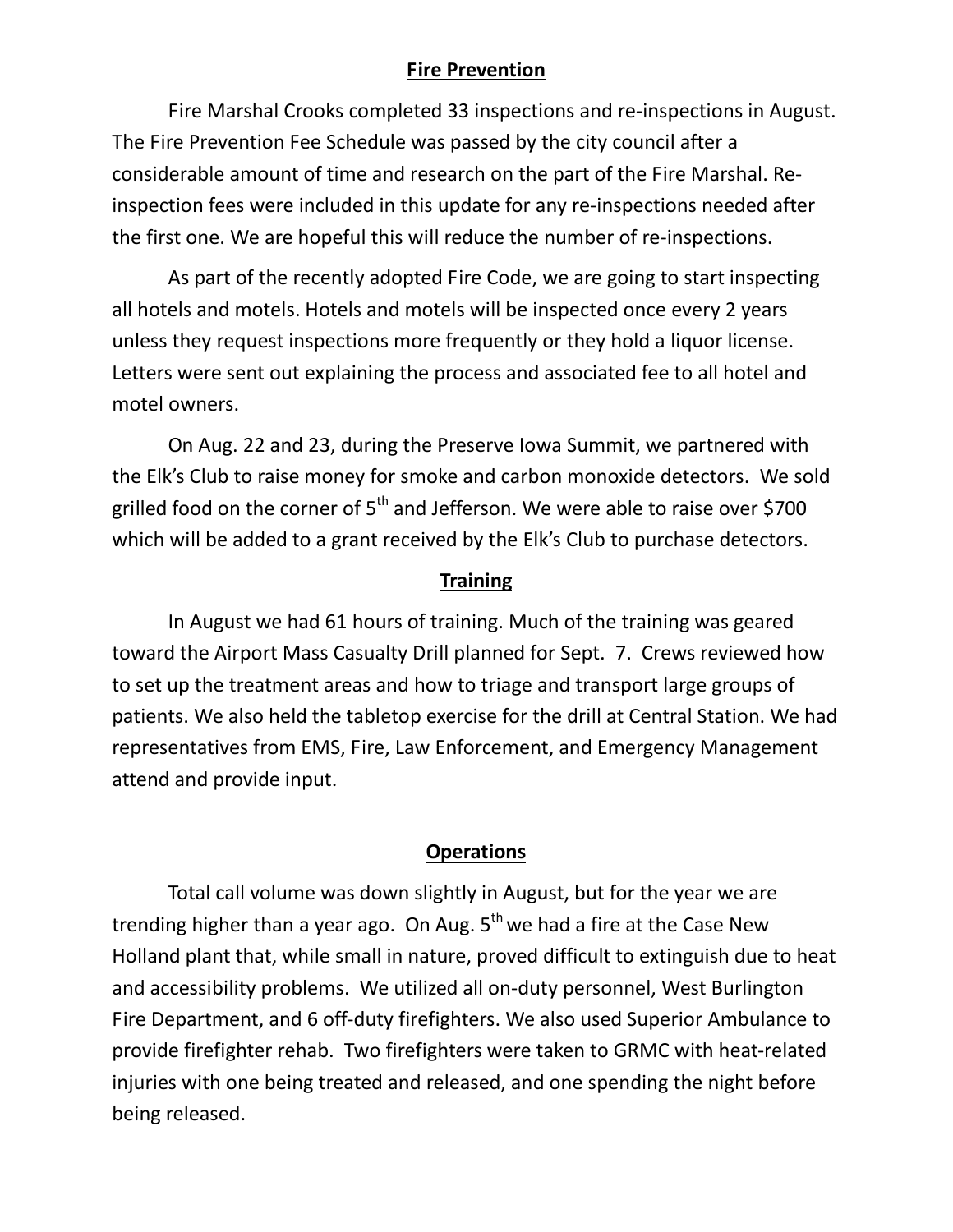### **Fire Prevention**

Fire Marshal Crooks completed 33 inspections and re-inspections in August. The Fire Prevention Fee Schedule was passed by the city council after a considerable amount of time and research on the part of the Fire Marshal. Reinspection fees were included in this update for any re-inspections needed after the first one. We are hopeful this will reduce the number of re-inspections.

As part of the recently adopted Fire Code, we are going to start inspecting all hotels and motels. Hotels and motels will be inspected once every 2 years unless they request inspections more frequently or they hold a liquor license. Letters were sent out explaining the process and associated fee to all hotel and motel owners.

On Aug. 22 and 23, during the Preserve Iowa Summit, we partnered with the Elk's Club to raise money for smoke and carbon monoxide detectors. We sold grilled food on the corner of  $5<sup>th</sup>$  and Jefferson. We were able to raise over \$700 which will be added to a grant received by the Elk's Club to purchase detectors.

#### **Training**

 In August we had 61 hours of training. Much of the training was geared toward the Airport Mass Casualty Drill planned for Sept. 7. Crews reviewed how to set up the treatment areas and how to triage and transport large groups of patients. We also held the tabletop exercise for the drill at Central Station. We had representatives from EMS, Fire, Law Enforcement, and Emergency Management attend and provide input.

#### **Operations**

Total call volume was down slightly in August, but for the year we are trending higher than a year ago. On Aug.  $5<sup>th</sup>$  we had a fire at the Case New Holland plant that, while small in nature, proved difficult to extinguish due to heat and accessibility problems. We utilized all on-duty personnel, West Burlington Fire Department, and 6 off-duty firefighters. We also used Superior Ambulance to provide firefighter rehab. Two firefighters were taken to GRMC with heat-related injuries with one being treated and released, and one spending the night before being released.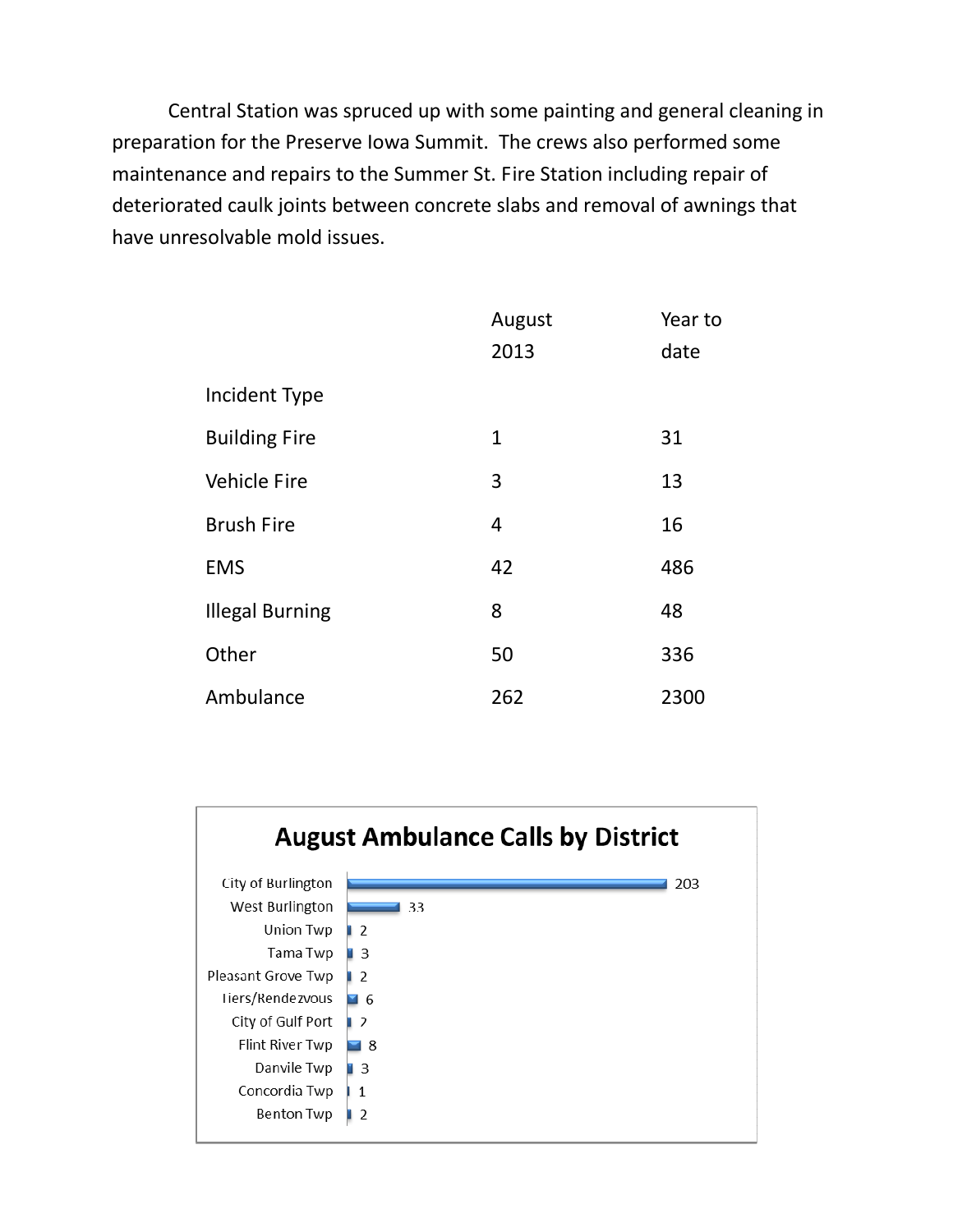Central Station was spruced up with some painting and general cleaning in preparation for the Preserve Iowa Summit. The crews also performed some maintenance and repairs to the Summer St. Fire Station including repair of deteriorated caulk joints between concrete slabs and removal of awnings that have unresolvable mold issues.

|                        | August | Year to |
|------------------------|--------|---------|
|                        | 2013   | date    |
| Incident Type          |        |         |
| <b>Building Fire</b>   | 1      | 31      |
| <b>Vehicle Fire</b>    | 3      | 13      |
| <b>Brush Fire</b>      | 4      | 16      |
| <b>EMS</b>             | 42     | 486     |
| <b>Illegal Burning</b> | 8      | 48      |
| Other                  | 50     | 336     |
| Ambulance              | 262    | 2300    |